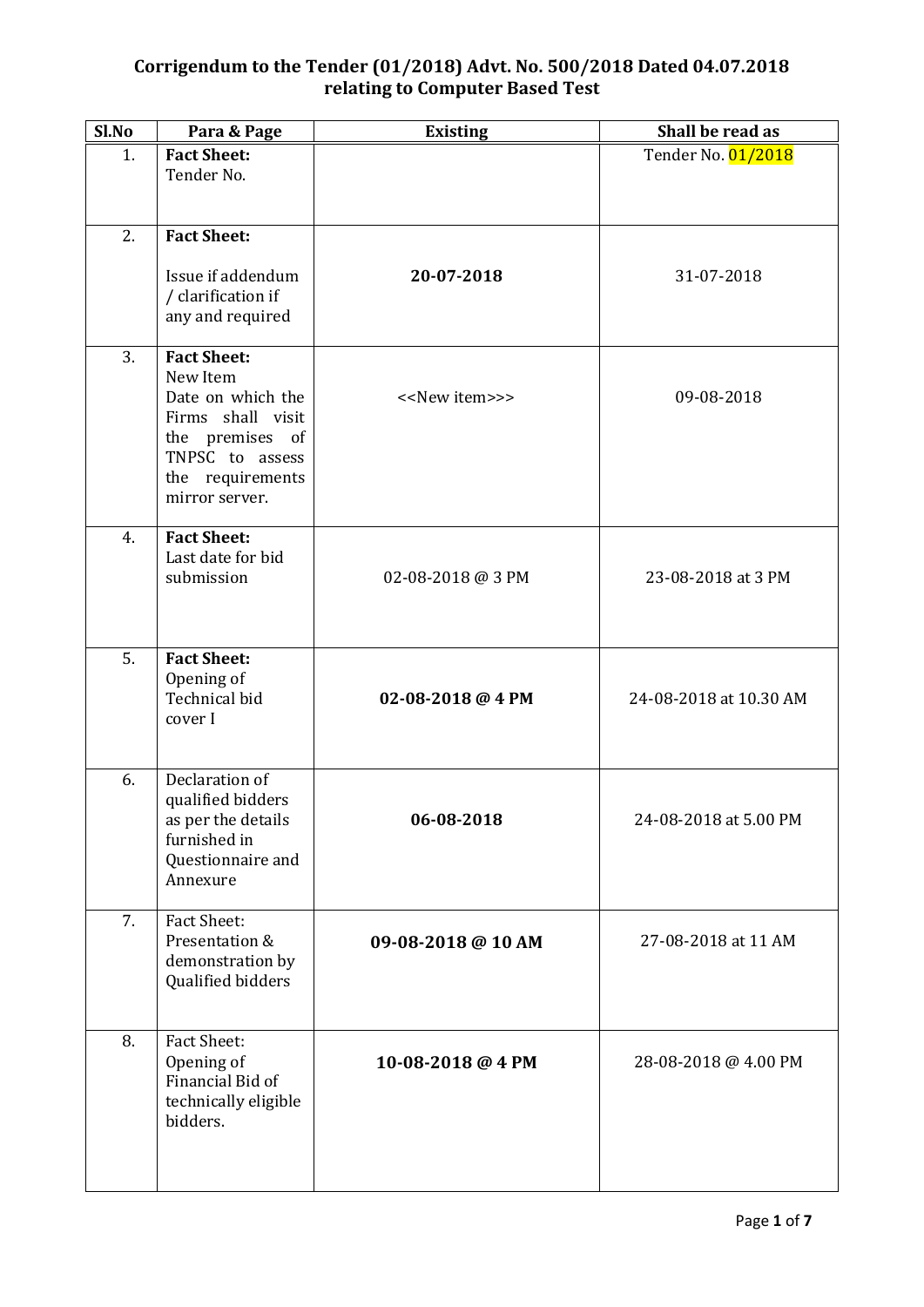| Sl.No | Para & Page                                                                                                                                          | <b>Existing</b>               | Shall be read as       |
|-------|------------------------------------------------------------------------------------------------------------------------------------------------------|-------------------------------|------------------------|
| 1.    | <b>Fact Sheet:</b><br>Tender No.                                                                                                                     |                               | Tender No. 01/2018     |
| 2.    | <b>Fact Sheet:</b>                                                                                                                                   |                               |                        |
|       | Issue if addendum<br>/ clarification if<br>any and required                                                                                          | 20-07-2018                    | 31-07-2018             |
| 3.    | <b>Fact Sheet:</b><br>New Item<br>Date on which the<br>Firms shall visit<br>the premises of<br>TNPSC to assess<br>the requirements<br>mirror server. | < <new item="">&gt;&gt;</new> | 09-08-2018             |
| 4.    | <b>Fact Sheet:</b><br>Last date for bid<br>submission                                                                                                | 02-08-2018 @ 3 PM             | 23-08-2018 at 3 PM     |
| 5.    | <b>Fact Sheet:</b><br>Opening of<br>Technical bid<br>cover I                                                                                         | 02-08-2018 @ 4 PM             | 24-08-2018 at 10.30 AM |
| 6.    | Declaration of<br>qualified bidders<br>as per the details<br>furnished in<br>Questionnaire and<br>Annexure                                           | 06-08-2018                    | 24-08-2018 at 5.00 PM  |
| 7.    | Fact Sheet:<br>Presentation &<br>demonstration by<br>Qualified bidders                                                                               | 09-08-2018 @ 10 AM            | 27-08-2018 at 11 AM    |
| 8.    | <b>Fact Sheet:</b><br>Opening of<br>Financial Bid of<br>technically eligible<br>bidders.                                                             | 10-08-2018 @ 4 PM             | 28-08-2018 @ 4.00 PM   |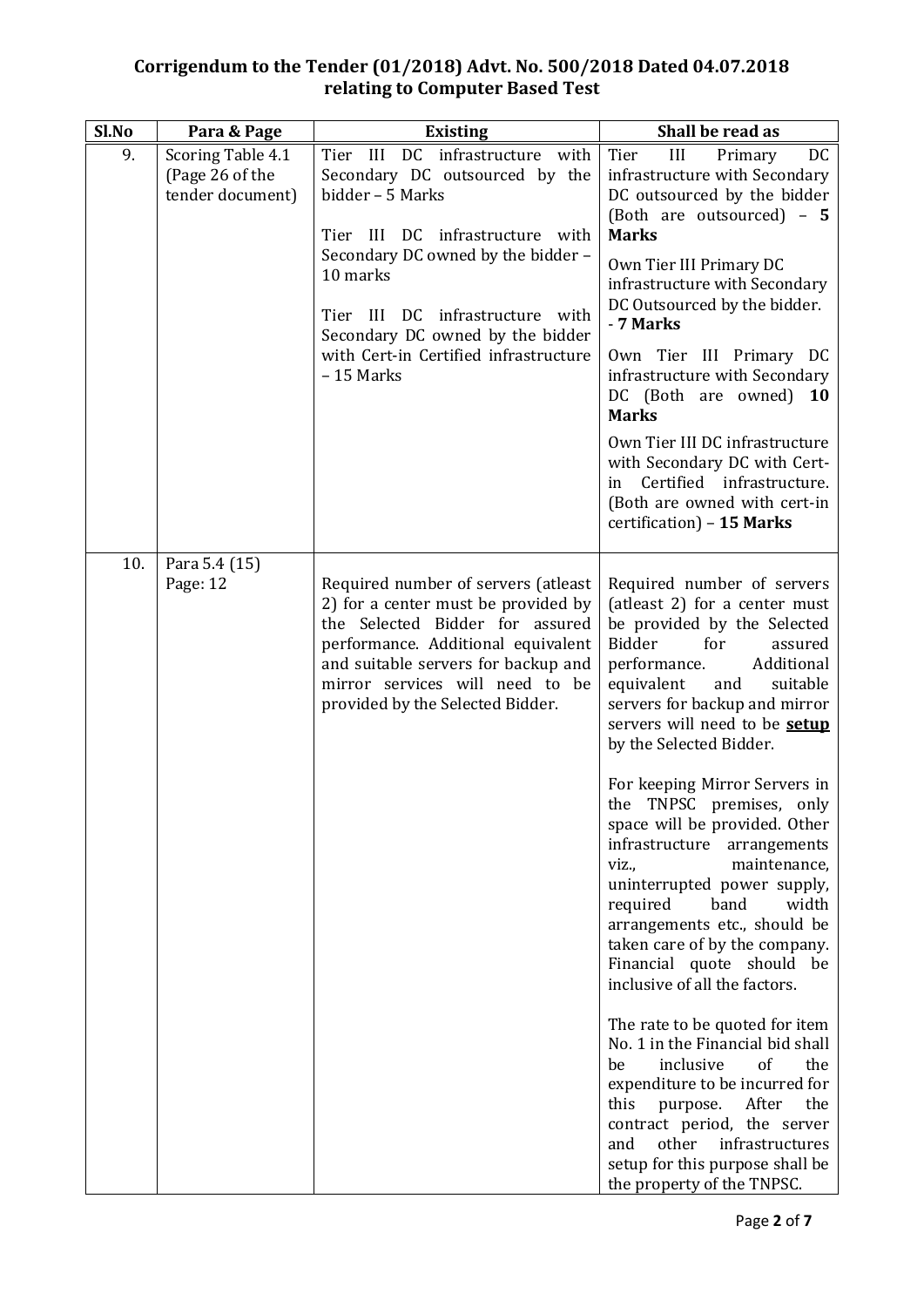| Sl.No | Para & Page                                              | <b>Existing</b>                                                                                                                                                                                                                                                                                           | Shall be read as                                                                                                                                                                                                                                                                                                                                                                                                                                                                                                                                                                                                                                                                                                                                                                                                                                                                                                                                                   |
|-------|----------------------------------------------------------|-----------------------------------------------------------------------------------------------------------------------------------------------------------------------------------------------------------------------------------------------------------------------------------------------------------|--------------------------------------------------------------------------------------------------------------------------------------------------------------------------------------------------------------------------------------------------------------------------------------------------------------------------------------------------------------------------------------------------------------------------------------------------------------------------------------------------------------------------------------------------------------------------------------------------------------------------------------------------------------------------------------------------------------------------------------------------------------------------------------------------------------------------------------------------------------------------------------------------------------------------------------------------------------------|
| 9.    | Scoring Table 4.1<br>(Page 26 of the<br>tender document) | Tier III DC infrastructure with<br>Secondary DC outsourced by the<br>bidder - 5 Marks<br>Tier III DC infrastructure with<br>Secondary DC owned by the bidder -<br>10 marks<br>Tier III DC infrastructure with<br>Secondary DC owned by the bidder<br>with Cert-in Certified infrastructure<br>$-15$ Marks | III<br>DC<br>Tier<br>Primary<br>infrastructure with Secondary<br>DC outsourced by the bidder<br>(Both are outsourced) - 5<br><b>Marks</b><br>Own Tier III Primary DC<br>infrastructure with Secondary<br>DC Outsourced by the bidder.<br>- 7 Marks<br>Own Tier III Primary DC<br>infrastructure with Secondary<br>DC (Both are owned) 10<br><b>Marks</b><br>Own Tier III DC infrastructure<br>with Secondary DC with Cert-<br>Certified infrastructure.<br>in.<br>(Both are owned with cert-in<br>certification) - 15 Marks                                                                                                                                                                                                                                                                                                                                                                                                                                        |
| 10.   | Para 5.4 (15)<br>Page: 12                                | Required number of servers (atleast<br>2) for a center must be provided by<br>the Selected Bidder for assured<br>performance. Additional equivalent<br>and suitable servers for backup and<br>mirror services will need to be<br>provided by the Selected Bidder.                                         | Required number of servers<br>(atleast 2) for a center must<br>be provided by the Selected<br><b>Bidder</b><br>for<br>assured<br>performance.<br>Additional<br>equivalent<br>and<br>suitable<br>servers for backup and mirror<br>servers will need to be setup<br>by the Selected Bidder.<br>For keeping Mirror Servers in<br>TNPSC premises,<br>the<br>only<br>space will be provided. Other<br>infrastructure<br>arrangements<br>maintenance,<br>viz.,<br>uninterrupted power supply,<br>band<br>width<br>required<br>arrangements etc., should be<br>taken care of by the company.<br>Financial quote should be<br>inclusive of all the factors.<br>The rate to be quoted for item<br>No. 1 in the Financial bid shall<br>of<br>inclusive<br>be<br>the<br>expenditure to be incurred for<br>this<br>After<br>the<br>purpose.<br>contract period, the server<br>other<br>infrastructures<br>and<br>setup for this purpose shall be<br>the property of the TNPSC. |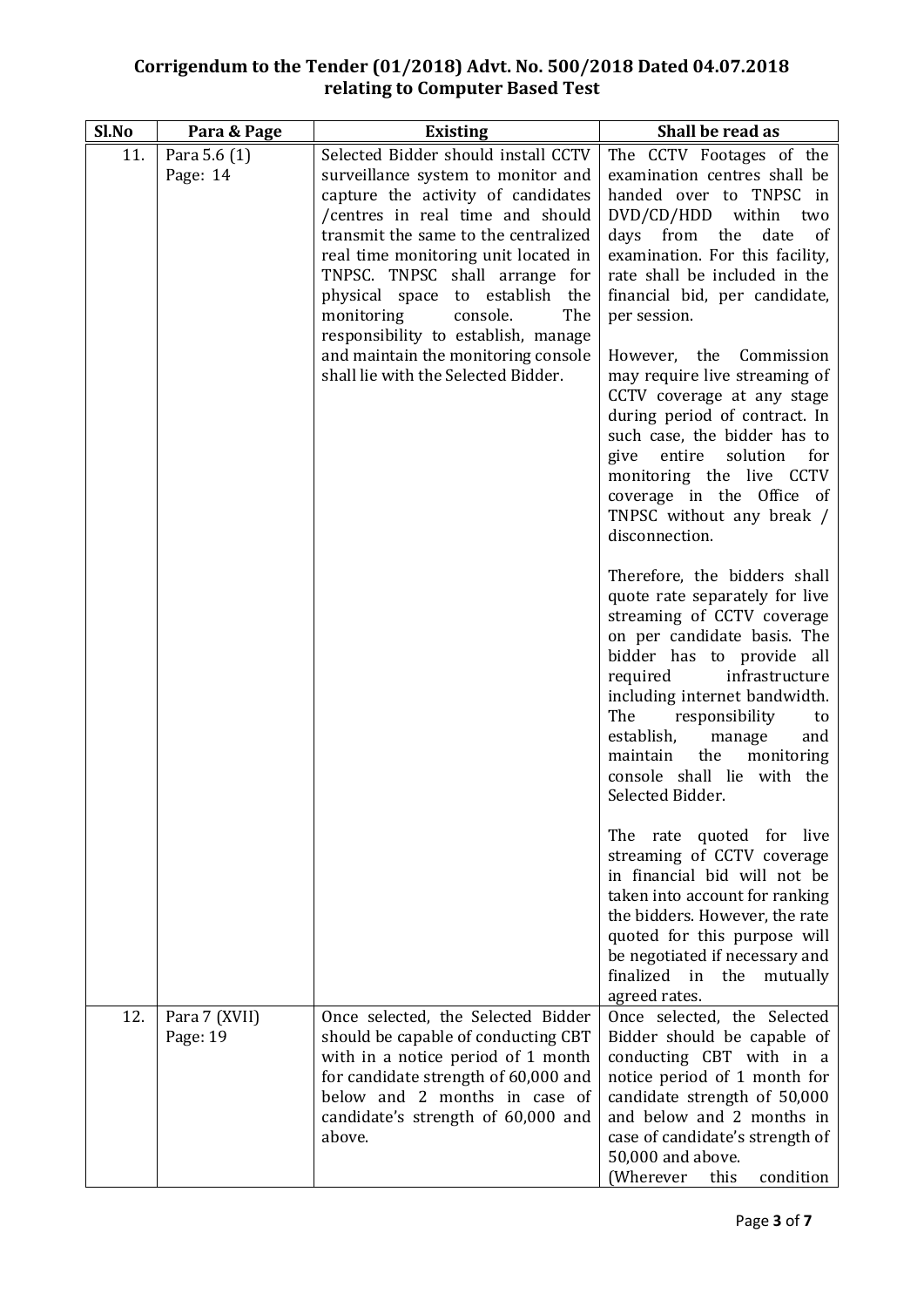| Sl.No | Para & Page               | <b>Existing</b>                                                                                                                                                                                                                                                                                                                           | Shall be read as                                                                                                                                                                                                                                                                                                                                                      |
|-------|---------------------------|-------------------------------------------------------------------------------------------------------------------------------------------------------------------------------------------------------------------------------------------------------------------------------------------------------------------------------------------|-----------------------------------------------------------------------------------------------------------------------------------------------------------------------------------------------------------------------------------------------------------------------------------------------------------------------------------------------------------------------|
| 11.   | Para 5.6 (1)              | Selected Bidder should install CCTV                                                                                                                                                                                                                                                                                                       | The CCTV Footages of the                                                                                                                                                                                                                                                                                                                                              |
|       | Page: 14                  | surveillance system to monitor and<br>capture the activity of candidates<br>/centres in real time and should<br>transmit the same to the centralized<br>real time monitoring unit located in<br>TNPSC. TNPSC shall arrange for<br>physical space to establish the<br>monitoring<br>The<br>console.<br>responsibility to establish, manage | examination centres shall be<br>handed over to TNPSC in<br>DVD/CD/HDD within two<br>days from<br>the<br>date<br>of<br>examination. For this facility,<br>rate shall be included in the<br>financial bid, per candidate,<br>per session.                                                                                                                               |
|       |                           | and maintain the monitoring console<br>shall lie with the Selected Bidder.                                                                                                                                                                                                                                                                | However, the Commission<br>may require live streaming of<br>CCTV coverage at any stage<br>during period of contract. In<br>such case, the bidder has to<br>solution<br>for<br>give<br>entire<br>monitoring the live CCTV<br>coverage in the Office of<br>TNPSC without any break /<br>disconnection.                                                                  |
|       |                           |                                                                                                                                                                                                                                                                                                                                           | Therefore, the bidders shall<br>quote rate separately for live<br>streaming of CCTV coverage<br>on per candidate basis. The<br>bidder has to provide all<br>infrastructure<br>required<br>including internet bandwidth.<br>The<br>responsibility<br>to<br>establish,<br>manage<br>and<br>maintain the<br>monitoring<br>console shall lie with the<br>Selected Bidder. |
|       |                           |                                                                                                                                                                                                                                                                                                                                           | The rate quoted for live<br>streaming of CCTV coverage<br>in financial bid will not be<br>taken into account for ranking<br>the bidders. However, the rate<br>quoted for this purpose will<br>be negotiated if necessary and<br>finalized in the<br>mutually<br>agreed rates.                                                                                         |
| 12.   | Para 7 (XVII)<br>Page: 19 | Once selected, the Selected Bidder<br>should be capable of conducting CBT<br>with in a notice period of 1 month<br>for candidate strength of 60,000 and<br>below and 2 months in case of<br>candidate's strength of 60,000 and<br>above.                                                                                                  | Once selected, the Selected<br>Bidder should be capable of<br>conducting CBT with in a<br>notice period of 1 month for<br>candidate strength of 50,000<br>and below and 2 months in<br>case of candidate's strength of<br>50,000 and above.<br>(Wherever<br>this<br>condition                                                                                         |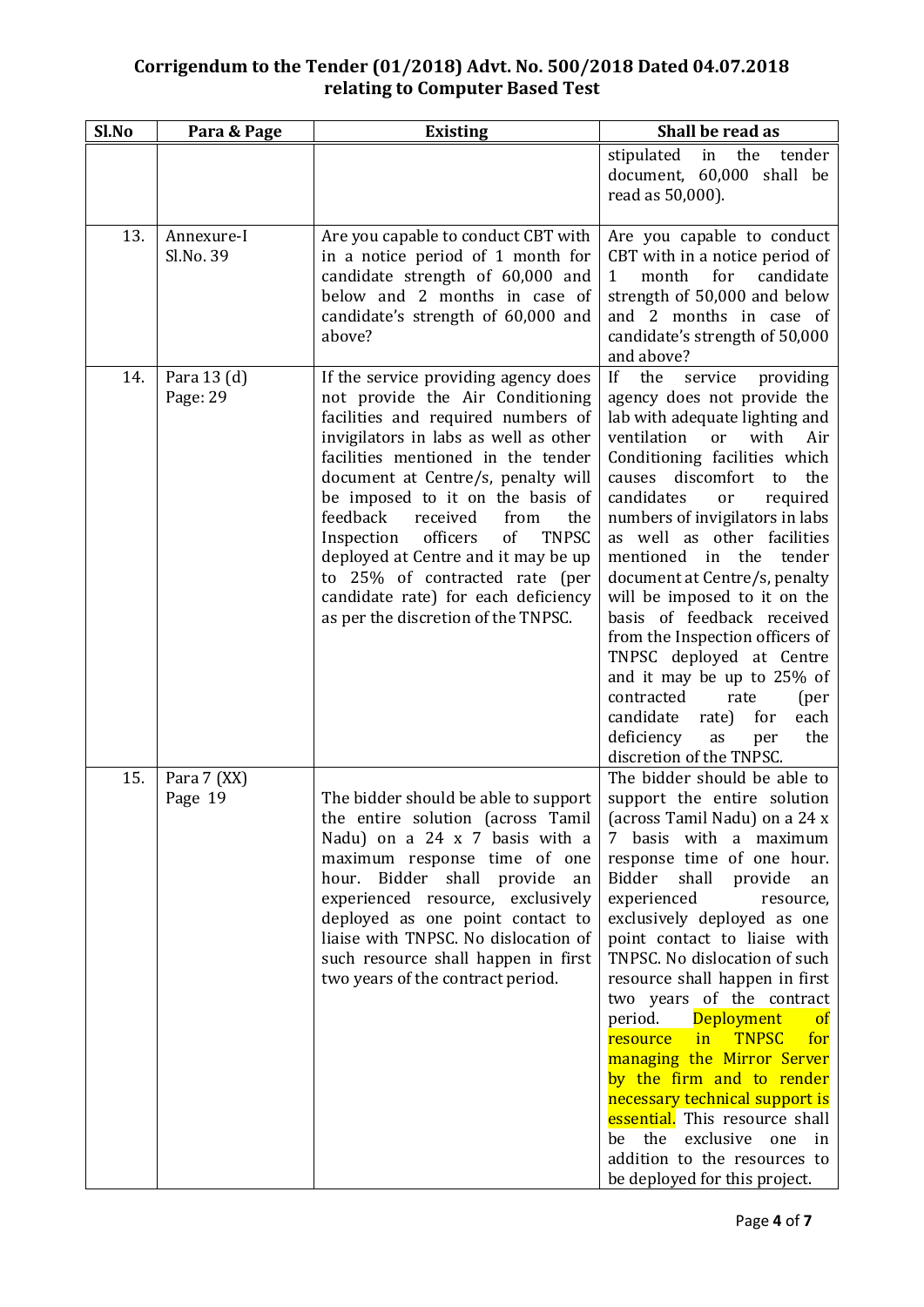| Sl.No | Para & Page             | <b>Existing</b>                                                                                                                                                                                                                                                                                                                                                                                                                                                                                                    | Shall be read as                                                                                                                                                                                                                                                                                                                                                                                                                                                                                                                                                                                                                                                                                                       |
|-------|-------------------------|--------------------------------------------------------------------------------------------------------------------------------------------------------------------------------------------------------------------------------------------------------------------------------------------------------------------------------------------------------------------------------------------------------------------------------------------------------------------------------------------------------------------|------------------------------------------------------------------------------------------------------------------------------------------------------------------------------------------------------------------------------------------------------------------------------------------------------------------------------------------------------------------------------------------------------------------------------------------------------------------------------------------------------------------------------------------------------------------------------------------------------------------------------------------------------------------------------------------------------------------------|
|       |                         |                                                                                                                                                                                                                                                                                                                                                                                                                                                                                                                    | the<br>stipulated in<br>tender<br>document, 60,000 shall be<br>read as 50,000).                                                                                                                                                                                                                                                                                                                                                                                                                                                                                                                                                                                                                                        |
| 13.   | Annexure-I<br>Sl.No. 39 | Are you capable to conduct CBT with<br>in a notice period of 1 month for<br>candidate strength of 60,000 and<br>below and 2 months in case of<br>candidate's strength of 60,000 and<br>above?                                                                                                                                                                                                                                                                                                                      | Are you capable to conduct<br>CBT with in a notice period of<br>$\mathbf{1}$<br>month for<br>candidate<br>strength of 50,000 and below<br>and 2 months in case of<br>candidate's strength of 50,000<br>and above?                                                                                                                                                                                                                                                                                                                                                                                                                                                                                                      |
| 14.   | Para 13 (d)<br>Page: 29 | If the service providing agency does<br>not provide the Air Conditioning<br>facilities and required numbers of<br>invigilators in labs as well as other<br>facilities mentioned in the tender<br>document at Centre/s, penalty will<br>be imposed to it on the basis of<br>feedback<br>the<br>received<br>from<br>Inspection officers<br>of<br><b>TNPSC</b><br>deployed at Centre and it may be up<br>to 25% of contracted rate (per<br>candidate rate) for each deficiency<br>as per the discretion of the TNPSC. | If<br>the<br>service<br>providing<br>agency does not provide the<br>lab with adequate lighting and<br>ventilation<br>with<br>Air<br><sub>or</sub><br>Conditioning facilities which<br>discomfort to<br>the<br>causes<br>candidates<br>required<br>or<br>numbers of invigilators in labs<br>as well as other facilities<br>mentioned in the<br>tender<br>document at Centre/s, penalty<br>will be imposed to it on the<br>basis of feedback received<br>from the Inspection officers of<br>TNPSC deployed at Centre<br>and it may be up to 25% of<br>contracted<br>rate<br>(per<br>candidate<br>each<br>rate)<br>for<br>deficiency<br>the<br>as<br>per<br>discretion of the TNPSC.                                      |
| 15.   | Para 7 (XX)<br>Page 19  | The bidder should be able to support<br>the entire solution (across Tamil<br>Nadu) on a 24 x 7 basis with a<br>maximum response time of one<br>hour. Bidder shall provide<br>an<br>experienced resource, exclusively<br>deployed as one point contact to<br>liaise with TNPSC. No dislocation of<br>such resource shall happen in first<br>two years of the contract period.                                                                                                                                       | The bidder should be able to<br>support the entire solution<br>(across Tamil Nadu) on a 24 x<br>7 basis with a maximum<br>response time of one hour.<br>Bidder<br>shall<br>provide<br>an<br>experienced<br>resource,<br>exclusively deployed as one<br>point contact to liaise with<br>TNPSC. No dislocation of such<br>resource shall happen in first<br>two years of the contract<br><b>Deployment</b><br>period.<br><b>of</b><br><b>TNPSC</b><br>for<br><b>resource</b><br>$\mathbf{in}$<br>managing the Mirror Server<br>by the firm and to render<br>necessary technical support is<br>essential. This resource shall<br>be the exclusive one in<br>addition to the resources to<br>be deployed for this project. |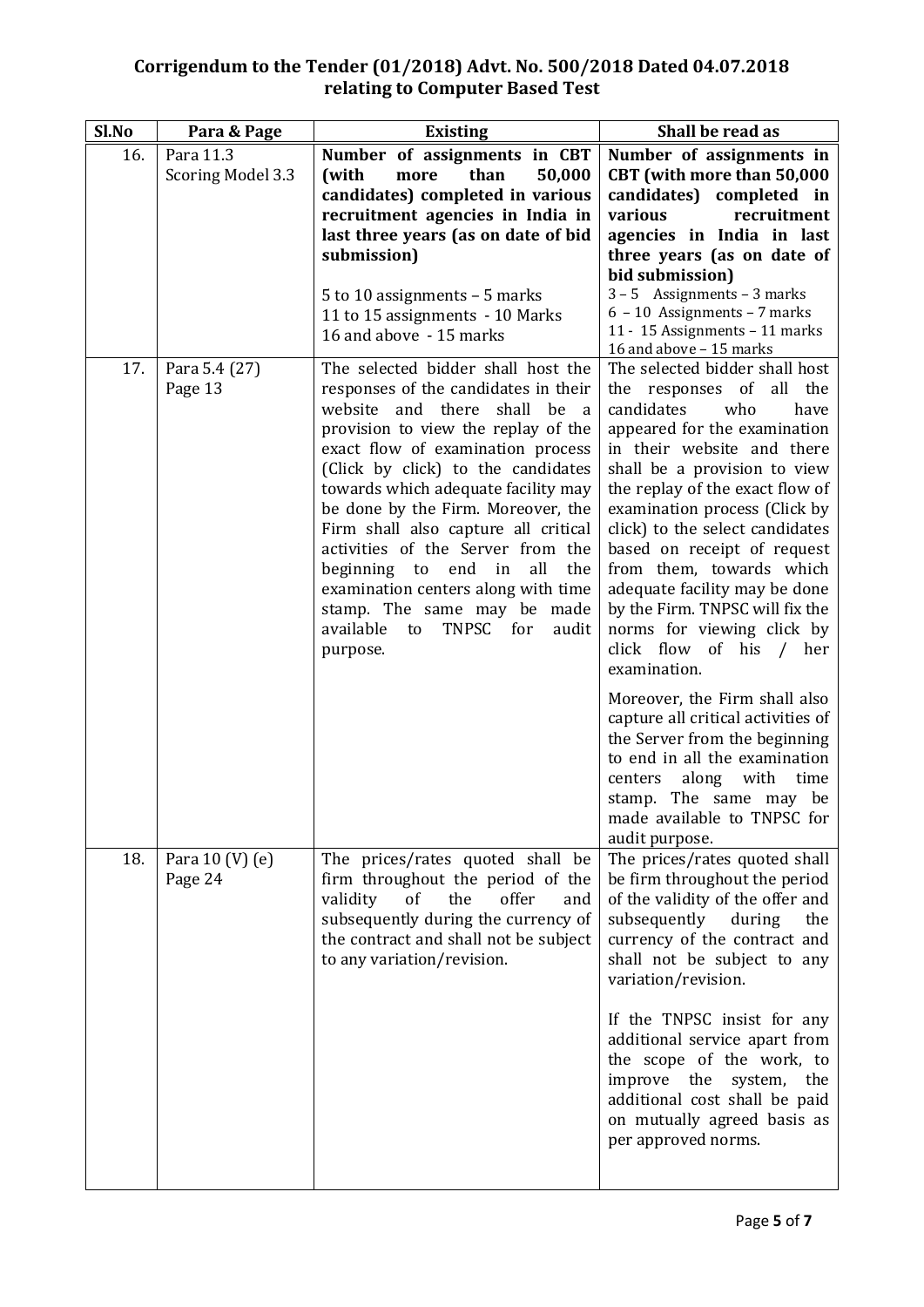| Sl.No | Para & Page                  | <b>Existing</b>                                                                                                                                                                                                                                                                                                                                                                                                                                                                                                                                        | Shall be read as                                                                                                                                                                                                                                                                                                                                                                                                                                                                                        |  |
|-------|------------------------------|--------------------------------------------------------------------------------------------------------------------------------------------------------------------------------------------------------------------------------------------------------------------------------------------------------------------------------------------------------------------------------------------------------------------------------------------------------------------------------------------------------------------------------------------------------|---------------------------------------------------------------------------------------------------------------------------------------------------------------------------------------------------------------------------------------------------------------------------------------------------------------------------------------------------------------------------------------------------------------------------------------------------------------------------------------------------------|--|
| 16.   | Para 11.3                    | Number of assignments in CBT                                                                                                                                                                                                                                                                                                                                                                                                                                                                                                                           | Number of assignments in                                                                                                                                                                                                                                                                                                                                                                                                                                                                                |  |
|       | <b>Scoring Model 3.3</b>     | than<br>50,000<br>(with<br>more                                                                                                                                                                                                                                                                                                                                                                                                                                                                                                                        | CBT (with more than 50,000                                                                                                                                                                                                                                                                                                                                                                                                                                                                              |  |
|       |                              | candidates) completed in various                                                                                                                                                                                                                                                                                                                                                                                                                                                                                                                       | candidates) completed in                                                                                                                                                                                                                                                                                                                                                                                                                                                                                |  |
|       |                              | recruitment agencies in India in                                                                                                                                                                                                                                                                                                                                                                                                                                                                                                                       | various<br>recruitment                                                                                                                                                                                                                                                                                                                                                                                                                                                                                  |  |
|       |                              | last three years (as on date of bid                                                                                                                                                                                                                                                                                                                                                                                                                                                                                                                    | agencies in India in last                                                                                                                                                                                                                                                                                                                                                                                                                                                                               |  |
|       |                              | submission)                                                                                                                                                                                                                                                                                                                                                                                                                                                                                                                                            | three years (as on date of                                                                                                                                                                                                                                                                                                                                                                                                                                                                              |  |
|       |                              |                                                                                                                                                                                                                                                                                                                                                                                                                                                                                                                                                        | bid submission)                                                                                                                                                                                                                                                                                                                                                                                                                                                                                         |  |
|       |                              | 5 to 10 assignments $-$ 5 marks<br>11 to 15 assignments - 10 Marks                                                                                                                                                                                                                                                                                                                                                                                                                                                                                     | $3 - 5$ Assignments - 3 marks<br>$6 - 10$ Assignments - 7 marks                                                                                                                                                                                                                                                                                                                                                                                                                                         |  |
|       |                              | 16 and above - 15 marks                                                                                                                                                                                                                                                                                                                                                                                                                                                                                                                                | 11 - 15 Assignments - 11 marks                                                                                                                                                                                                                                                                                                                                                                                                                                                                          |  |
|       |                              |                                                                                                                                                                                                                                                                                                                                                                                                                                                                                                                                                        | 16 and above - 15 marks                                                                                                                                                                                                                                                                                                                                                                                                                                                                                 |  |
| 17.   | Para 5.4 (27)<br>Page 13     | The selected bidder shall host the<br>responses of the candidates in their<br>website and there shall be a<br>provision to view the replay of the<br>exact flow of examination process<br>(Click by click) to the candidates<br>towards which adequate facility may<br>be done by the Firm. Moreover, the<br>Firm shall also capture all critical<br>activities of the Server from the<br>beginning to end in<br>all<br>the<br>examination centers along with time<br>stamp. The same may be made<br>available to<br>TNPSC<br>for<br>audit<br>purpose. | The selected bidder shall host<br>the responses of<br>all the<br>candidates<br>who<br>have<br>appeared for the examination<br>in their website and there<br>shall be a provision to view<br>the replay of the exact flow of<br>examination process (Click by<br>click) to the select candidates<br>based on receipt of request<br>from them, towards which<br>adequate facility may be done<br>by the Firm. TNPSC will fix the<br>norms for viewing click by<br>click flow of his / her<br>examination. |  |
|       |                              |                                                                                                                                                                                                                                                                                                                                                                                                                                                                                                                                                        | Moreover, the Firm shall also<br>capture all critical activities of<br>the Server from the beginning<br>to end in all the examination<br>along<br>with<br>time<br>centers<br>stamp. The same may be<br>made available to TNPSC for<br>audit purpose.                                                                                                                                                                                                                                                    |  |
| 18.   | Para $10 (V) (e)$<br>Page 24 | The prices/rates quoted shall be<br>firm throughout the period of the<br>validity<br>of<br>the<br>offer<br>and<br>subsequently during the currency of<br>the contract and shall not be subject<br>to any variation/revision.                                                                                                                                                                                                                                                                                                                           | The prices/rates quoted shall<br>be firm throughout the period<br>of the validity of the offer and<br>subsequently<br>during<br>the<br>currency of the contract and<br>shall not be subject to any<br>variation/revision.                                                                                                                                                                                                                                                                               |  |
|       |                              |                                                                                                                                                                                                                                                                                                                                                                                                                                                                                                                                                        | If the TNPSC insist for any<br>additional service apart from<br>the scope of the work, to<br>improve the<br>system,<br>the<br>additional cost shall be paid<br>on mutually agreed basis as<br>per approved norms.                                                                                                                                                                                                                                                                                       |  |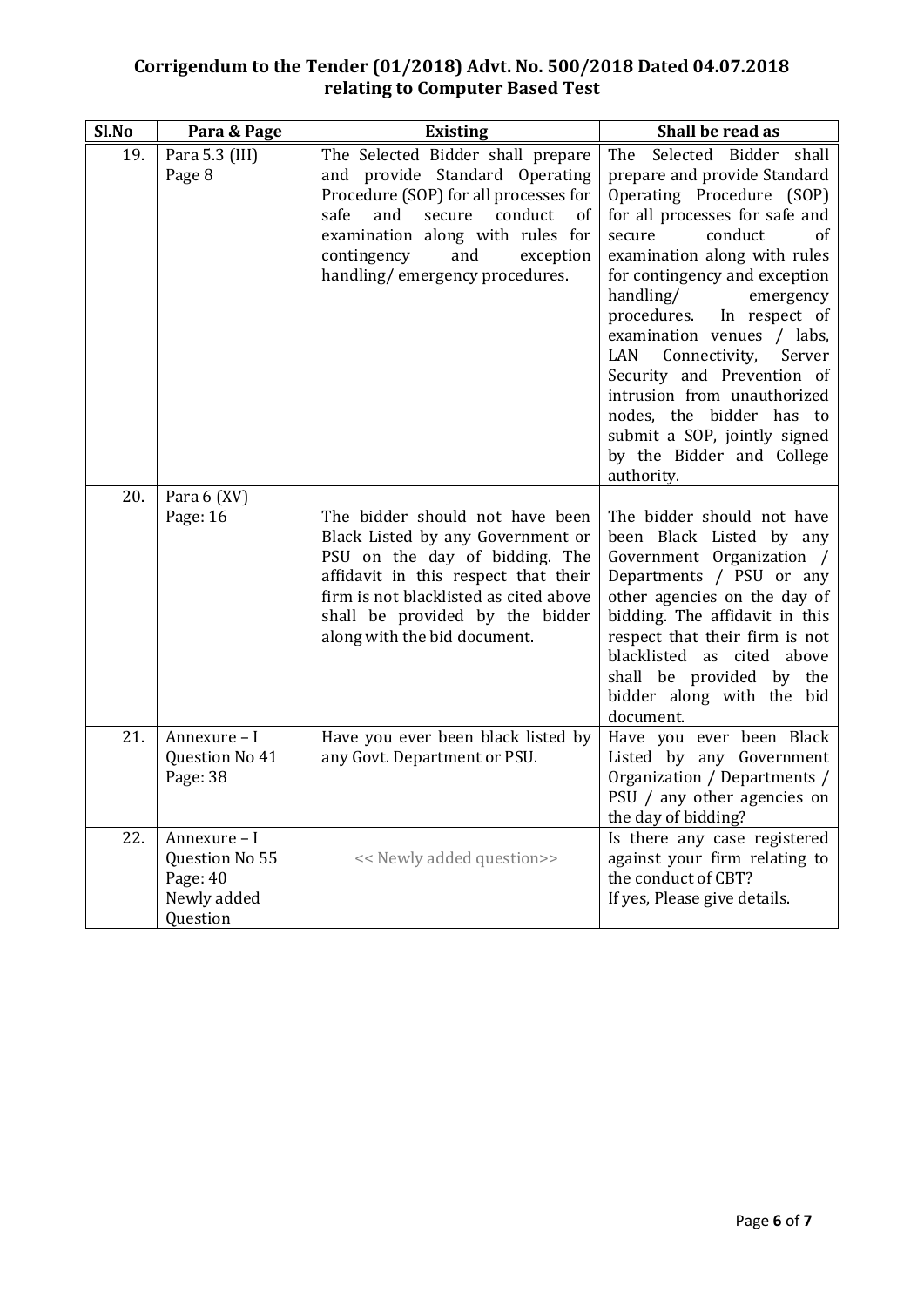| Sl.No | Para & Page                                                           | <b>Existing</b>                                                                                                                                                                                                                                                         | Shall be read as                                                                                                                                                                                                                                                                                                                                                                                                                                                                                                           |
|-------|-----------------------------------------------------------------------|-------------------------------------------------------------------------------------------------------------------------------------------------------------------------------------------------------------------------------------------------------------------------|----------------------------------------------------------------------------------------------------------------------------------------------------------------------------------------------------------------------------------------------------------------------------------------------------------------------------------------------------------------------------------------------------------------------------------------------------------------------------------------------------------------------------|
| 19.   | Para 5.3 (III)<br>Page 8                                              | The Selected Bidder shall prepare<br>and provide Standard Operating<br>Procedure (SOP) for all processes for<br>and<br>secure conduct<br>safe<br><sub>of</sub><br>examination along with rules for<br>contingency<br>and<br>exception<br>handling/emergency procedures. | The Selected Bidder shall<br>prepare and provide Standard<br>Operating Procedure (SOP)<br>for all processes for safe and<br>secure<br>conduct<br><sub>of</sub><br>examination along with rules<br>for contingency and exception<br>handling/<br>emergency<br>procedures. In respect of<br>examination venues / labs,<br>LAN<br>Connectivity,<br>Server<br>Security and Prevention of<br>intrusion from unauthorized<br>nodes, the bidder has to<br>submit a SOP, jointly signed<br>by the Bidder and College<br>authority. |
| 20.   | Para 6 (XV)<br>Page: 16                                               | The bidder should not have been<br>Black Listed by any Government or<br>PSU on the day of bidding. The<br>affidavit in this respect that their<br>firm is not blacklisted as cited above<br>shall be provided by the bidder<br>along with the bid document.             | The bidder should not have<br>been Black Listed by any<br>Government Organization /<br>Departments / PSU or any<br>other agencies on the day of<br>bidding. The affidavit in this<br>respect that their firm is not<br>blacklisted as cited above<br>shall be provided by the<br>bidder along with the bid<br>document.                                                                                                                                                                                                    |
| 21.   | Annexure - I<br>Question No 41<br>Page: 38                            | Have you ever been black listed by<br>any Govt. Department or PSU.                                                                                                                                                                                                      | Have you ever been Black<br>Listed by any Government<br>Organization / Departments /<br>PSU / any other agencies on<br>the day of bidding?                                                                                                                                                                                                                                                                                                                                                                                 |
| 22.   | Annexure - I<br>Question No 55<br>Page: 40<br>Newly added<br>Question | << Newly added question>>                                                                                                                                                                                                                                               | Is there any case registered<br>against your firm relating to<br>the conduct of CBT?<br>If yes, Please give details.                                                                                                                                                                                                                                                                                                                                                                                                       |